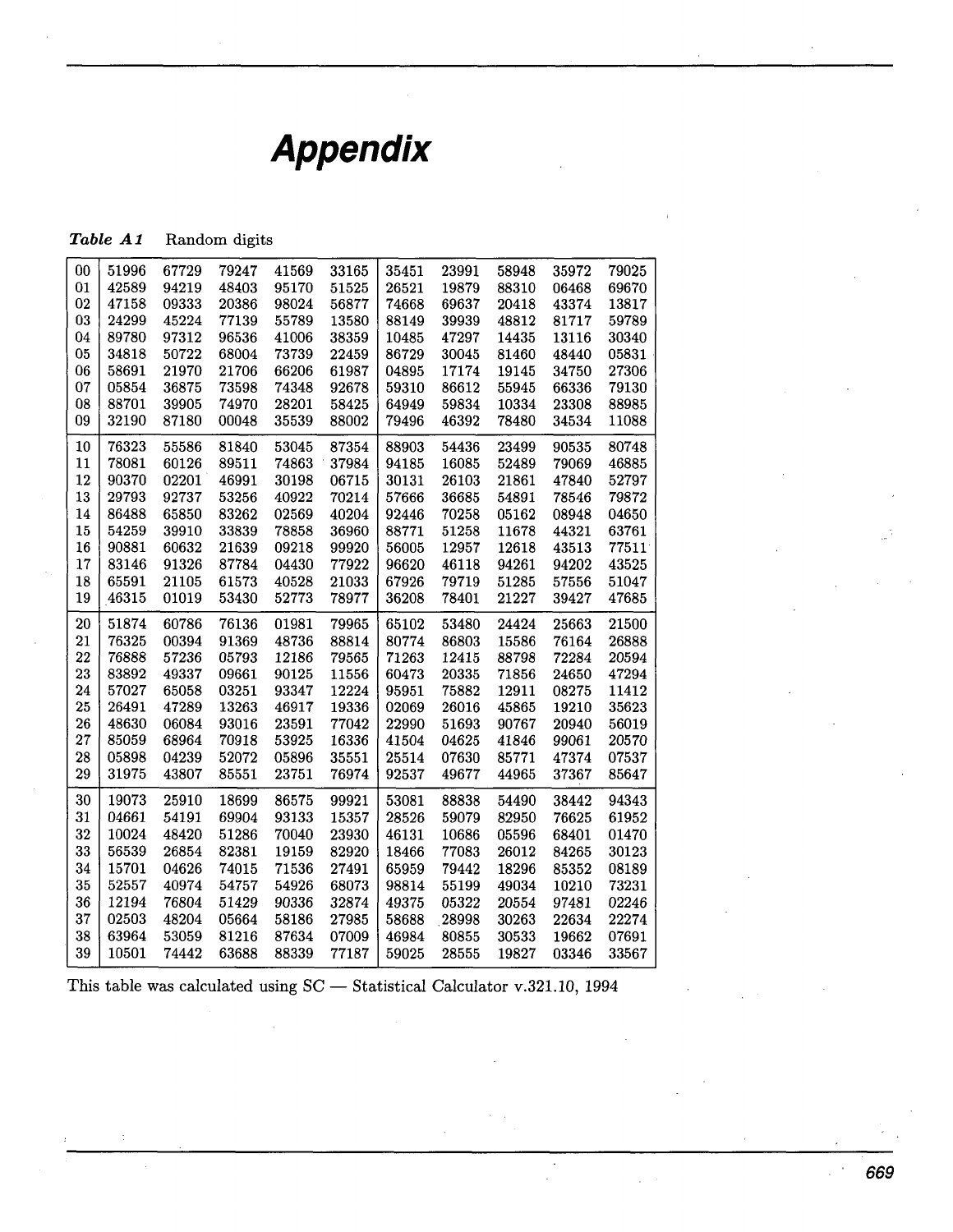## **Appendix**

## Table A1 Random digits

| 00 | 51996 | 67729 | 79247 | 41569 | 33165 | 35451 | 23991 | 58948 | 35972 | 79025 |
|----|-------|-------|-------|-------|-------|-------|-------|-------|-------|-------|
| 01 | 42589 | 94219 | 48403 | 95170 | 51525 | 26521 | 19879 | 88310 | 06468 | 69670 |
| 02 | 47158 | 09333 | 20386 | 98024 | 56877 | 74668 | 69637 | 20418 | 43374 | 13817 |
| 03 | 24299 | 45224 | 77139 | 55789 | 13580 | 88149 | 39939 | 48812 | 81717 | 59789 |
| 04 | 89780 | 97312 | 96536 | 41006 | 38359 | 10485 | 47297 | 14435 | 13116 | 30340 |
| 05 | 34818 | 50722 | 68004 | 73739 | 22459 | 86729 | 30045 | 81460 | 48440 | 05831 |
| 06 | 58691 | 21970 | 21706 | 66206 | 61987 | 04895 | 17174 | 19145 | 34750 | 27306 |
| 07 | 05854 | 36875 | 73598 | 74348 | 92678 | 59310 | 86612 | 55945 | 66336 | 79130 |
| 08 | 88701 | 39905 | 74970 | 28201 | 58425 | 64949 | 59834 | 10334 | 23308 | 88985 |
| 09 | 32190 | 87180 | 00048 | 35539 | 88002 | 79496 | 46392 | 78480 | 34534 | 11088 |
|    |       |       |       |       |       |       |       |       |       |       |
| 10 | 76323 | 55586 | 81840 | 53045 | 87354 | 88903 | 54436 | 23499 | 90535 | 80748 |
| 11 | 78081 | 60126 | 89511 | 74863 | 37984 | 94185 | 16085 | 52489 | 79069 | 46885 |
| 12 | 90370 | 02201 | 46991 | 30198 | 06715 | 30131 | 26103 | 21861 | 47840 | 52797 |
| 13 | 29793 | 92737 | 53256 | 40922 | 70214 | 57666 | 36685 | 54891 | 78546 | 79872 |
| 14 | 86488 | 65850 | 83262 | 02569 | 40204 | 92446 | 70258 | 05162 | 08948 | 04650 |
| 15 | 54259 | 39910 | 33839 | 78858 | 36960 | 88771 | 51258 | 11678 | 44321 | 63761 |
| 16 | 90881 | 60632 | 21639 | 09218 | 99920 | 56005 | 12957 | 12618 | 43513 | 77511 |
| 17 | 83146 | 91326 | 87784 | 04430 | 77922 | 96620 | 46118 | 94261 | 94202 | 43525 |
| 18 | 65591 | 21105 | 61573 | 40528 | 21033 | 67926 | 79719 | 51285 | 57556 | 51047 |
| 19 | 46315 | 01019 | 53430 | 52773 | 78977 | 36208 | 78401 | 21227 | 39427 | 47685 |
|    |       |       |       |       |       |       |       |       |       |       |
| 20 | 51874 | 60786 | 76136 | 01981 | 79965 | 65102 | 53480 | 24424 | 25663 | 21500 |
| 21 | 76325 | 00394 | 91369 | 48736 | 88814 | 80774 | 86803 | 15586 | 76164 | 26888 |
| 22 | 76888 | 57236 | 05793 | 12186 | 79565 | 71263 | 12415 | 88798 | 72284 | 20594 |
| 23 | 83892 | 49337 | 09661 | 90125 | 11556 | 60473 | 20335 | 71856 | 24650 | 47294 |
| 24 | 57027 | 65058 | 03251 | 93347 | 12224 | 95951 | 75882 | 12911 | 08275 | 11412 |
| 25 | 26491 | 47289 | 13263 | 46917 | 19336 | 02069 | 26016 | 45865 | 19210 | 35623 |
| 26 | 48630 | 06084 | 93016 | 23591 | 77042 | 22990 | 51693 | 90767 | 20940 | 56019 |
| 27 | 85059 | 68964 | 70918 | 53925 | 16336 | 41504 | 04625 | 41846 | 99061 | 20570 |
| 28 | 05898 | 04239 | 52072 | 05896 | 35551 | 25514 | 07630 | 85771 | 47374 | 07537 |
| 29 | 31975 | 43807 | 85551 | 23751 | 76974 | 92537 | 49677 | 44965 | 37367 | 85647 |
| 30 | 19073 | 25910 | 18699 | 86575 | 99921 | 53081 | 88838 | 54490 | 38442 | 94343 |
| 31 | 04661 | 54191 | 69904 | 93133 | 15357 | 28526 | 59079 | 82950 | 76625 | 61952 |
| 32 | 10024 | 48420 | 51286 | 70040 | 23930 | 46131 | 10686 | 05596 | 68401 | 01470 |
|    |       |       |       |       |       |       |       |       |       |       |
| 33 | 56539 | 26854 | 82381 | 19159 | 82920 | 18466 | 77083 | 26012 | 84265 | 30123 |
| 34 | 15701 | 04626 | 74015 | 71536 | 27491 | 65959 | 79442 | 18296 | 85352 | 08189 |
| 35 | 52557 | 40974 | 54757 | 54926 | 68073 | 98814 | 55199 | 49034 | 10210 | 73231 |
| 36 | 12194 | 76804 | 51429 | 90336 | 32874 | 49375 | 05322 | 20554 | 97481 | 02246 |
| 37 | 02503 | 48204 | 05664 | 58186 | 27985 | 58688 | 28998 | 30263 | 22634 | 22274 |
| 38 | 63964 | 53059 | 81216 | 87634 | 07009 | 46984 | 80855 | 30533 | 19662 | 07691 |
| 39 | 10501 | 74442 | 63688 | 88339 | 77187 | 59025 | 28555 | 19827 | 03346 | 33567 |
|    |       |       |       |       |       |       |       |       |       |       |

This table was calculated using SC - Statistical Calculator **v**.321.10, 1994

 $\boldsymbol{\cdot}$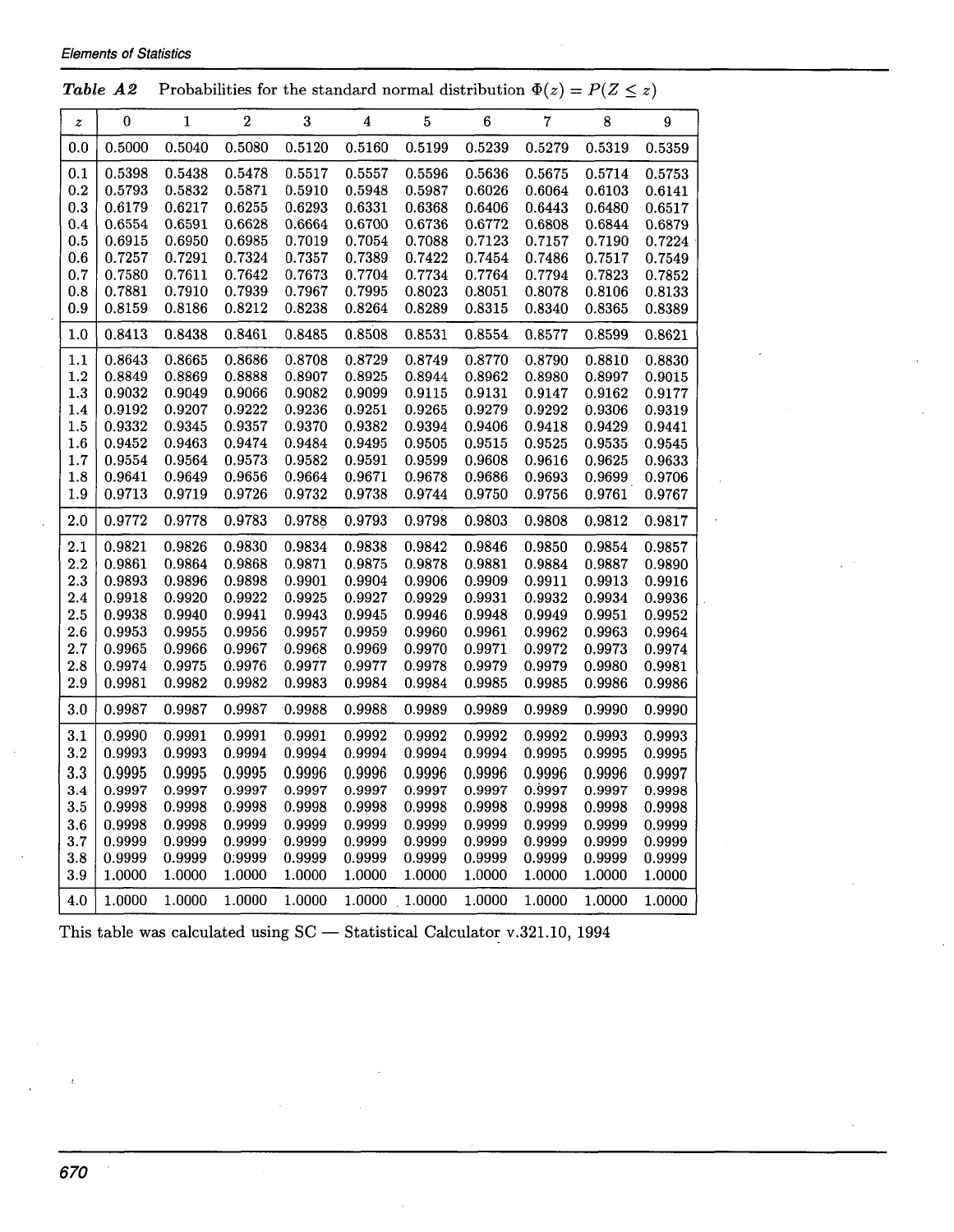| $\boldsymbol{z}$ | 0                                                        | 1      | $\sqrt{2}$       | 3                | 4                | $\overline{5}$ | 6                | $\overline{7}$ | 8      | 9                |
|------------------|----------------------------------------------------------|--------|------------------|------------------|------------------|----------------|------------------|----------------|--------|------------------|
| $_{0.0}$         | 0.5000                                                   | 0.5040 | 0.5080           | 0.5120           | 0.5160           | 0.5199         | 0.5239           | 0.5279         | 0.5319 | 0.5359           |
| 0.1              | 0.5398                                                   | 0.5438 | 0.5478           | 0.5517           | 0.5557           | 0.5596         | 0.5636           | 0.5675         | 0.5714 | 0.5753           |
| $_{0.2}$         | 0.5793                                                   | 0.5832 | 0.5871           | 0.5910           | 0.5948           | 0.5987         | 0.6026           | 0.6064         | 0.6103 | 0.6141           |
| 0.3              | 0.6179                                                   | 0.6217 | 0.6255           | 0.6293           | 0.6331           | 0.6368         | 0.6406           | 0.6443         | 0.6480 | 0.6517           |
| 0.4              | 0.6554                                                   | 0.6591 | 0.6628           | 0.6664           | 0.6700           | 0.6736         | 0.6772           | 0.6808         | 0.6844 | 0.6879           |
| 0.5              | 0.6915                                                   | 0.6950 | 0.6985           | 0.7019           | 0.7054           | 0.7088         | 0.7123           | 0.7157         | 0.7190 | 0.7224           |
| 0.6              | 0.7257                                                   | 0.7291 | 0.7324           | 0.7357           | 0.7389           | 0.7422         | 0.7454           | 0.7486         | 0.7517 | 0.7549           |
| 0.7              | 0.7580                                                   | 0.7611 | 0.7642           | 0.7673           | 0.7704           | 0.7734         | 0.7764           | 0.7794         | 0.7823 | 0.7852           |
| 0.8              | 0.7881                                                   | 0.7910 | 0.7939           | 0.7967           | 0.7995           | 0.8023         | 0.8051           | 0.8078         | 0.8106 | 0.8133           |
| 0.9              | 0.8159                                                   | 0.8186 | 0.8212           | 0.8238           | 0.8264           | 0.8289         | 0.8315           | 0.8340         | 0.8365 | 0.8389           |
| $1.0\,$          | 0.8413                                                   | 0.8438 | 0.8461           | 0.8485           | 0.8508           | 0.8531         | 0.8554           | 0.8577         | 0.8599 | 0.8621           |
| 1.1              | 0.8643                                                   | 0.8665 | 0.8686           | 0.8708           | 0.8729           | 0.8749         | 0.8770           | 0.8790         | 0.8810 | 0.8830           |
| 1.2              | 0.8849                                                   | 0.8869 | 0.8888           | 0.8907           | 0.8925           | 0.8944         | 0.8962           | 0.8980         | 0.8997 | 0.9015           |
| 1.3              | 0.9032<br>0.9192<br>0.9332<br>0.9452<br>0.9554<br>0.9641 | 0.9049 | 0.9066           | 0.9082           | 0.9099           | 0.9115         | 0.9131           | 0.9147         | 0.9162 | 0.9177           |
| 1.4              |                                                          | 0.9207 | 0.9222           | 0.9236           | 0.9251           | 0.9265         | 0.9279           | 0.9292         | 0.9306 | 0.9319<br>0.9441 |
| 1.5              |                                                          | 0.9345 | 0.9357           | 0.9370           | 0.9382           | 0.9394         | 0.9406<br>0.9515 | 0.9418         | 0.9429 |                  |
| $1.6\,$          |                                                          | 0.9463 | 0.9474           | 0.9484           | 0.9495           | 0.9505         |                  | 0.9525         | 0.9535 | 0.9545           |
| 1.7              |                                                          | 0.9564 | 0.9573<br>0.9656 | 0.9582<br>0.9664 | 0.9591           | 0.9599         | 0.9608           | 0.9616         | 0.9625 | 0.9633           |
| $1.8\,$          |                                                          | 0.9649 |                  |                  | 0.9671           | 0.9678         | 0.9686           | 0.9693         | 0.9699 | 0.9706           |
| 1.9              | 0.9713                                                   | 0.9719 | 0.9726           | 0.9732           | 0.9738           | 0.9744         | 0.9750           | 0.9756         | 0.9761 | 0.9767           |
| 2.0              | 0.9772                                                   | 0.9778 | 0.9783           | 0.9788           | 0.9793           | 0.9798         | 0.9803           | 0.9808         | 0.9812 | 0.9817           |
| $2.1\,$          | 0.9821                                                   | 0.9826 | 0.9830           | 0.9834           | 0.9838           | 0.9842         | 0.9846           | 0.9850         | 0.9854 | 0.9857           |
| $2.2\,$          | 0.9861                                                   | 0.9864 | 0.9868           | 0.9871           | 0.9875           | 0.9878         | 0.9881           | 0.9884         | 0.9887 | 0.9890           |
| $2.3\,$          | 0.9893<br>0.9918<br>0.9938                               | 0.9896 | 0.9898           | 0.9901           | 0.9904           | 0.9906         | 0.9909<br>0.9911 | 0.9913         | 0.9916 |                  |
| 2.4              |                                                          | 0.9920 | 0.9922           | 0.9925<br>0.9943 | 0.9927<br>0.9945 | 0.9929         | 0.9931           | 0.9932         | 0.9934 | 0.9936           |
| 2.5              |                                                          | 0.9940 | 0.9941           |                  |                  | 0.9946         | 0.9948           | 0.9949         | 0.9951 | 0.9952           |
| 2.6              | 0.9953                                                   | 0.9955 | 0.9956           | 0.9957           | 0.9959           | 0.9960         | 0.9961           | 0.9962         | 0.9963 | 0.9964           |
| $2.7\,$          | 0.9965                                                   | 0.9966 | 0.9967           | 0.9968           | 0.9969           | 0.9970         | 0.9971           | 0.9972         | 0.9973 | 0.9974           |
| $2.8\,$          | 0.9974                                                   | 0.9975 | 0.9976           | 0.9977           | 0.9977           | 0.9978         | 0.9979           | 0.9979         | 0.9980 | 0.9981           |
| 2.9              | 0.9981                                                   | 0.9982 | 0.9982           | 0.9983           | 0.9984           | 0.9984         | 0.9985           | 0.9985         | 0.9986 | 0.9986           |
| 3.0              | 0.9987                                                   | 0.9987 | 0.9987           | 0.9988           | 0.9988           | 0.9989         | 0.9989           | 0.9989         | 0.9990 | 0.9990           |
| 3.1              | 0.9990                                                   | 0.9991 | 0.9991           | 0.9991           | 0.9992           | 0.9992         | 0.9992           | 0.9992         | 0.9993 | 0.9993           |
| $3.2\,$          | 0.9993                                                   | 0.9993 | 0.9994           | 0.9994           | 0.9994           | 0.9994         | 0.9994           | 0.9995         | 0.9995 | 0.9995           |
| 3.3              | 0.9995                                                   | 0.9995 | 0.9995           | 0.9996           | 0.9996           | 0.9996         | 0.9996           | 0.9996         | 0.9996 | 0.9997           |
| 3.4              | 0.9997                                                   | 0.9997 | 0.9997           | 0.9997           | 0.9997           | 0.9997         | 0.9997           | 0.9997         | 0.9997 | 0.9998           |
| 3.5              | 0.9998                                                   | 0.9998 | 0.9998           | 0.9998           | 0.9998           | 0.9998         | 0.9998           | 0.9998         | 0.9998 | 0.9998           |
| $_{\rm 3.6}$     | 0.9998                                                   | 0.9998 | 0.9999           | 0.9999           | 0.9999           | 0.9999         | 0.9999           | 0.9999         | 0.9999 | 0.9999           |
| $_{3.7}$         | 0.9999                                                   | 0.9999 | 0.9999           | 0.9999           | 0.9999           | 0.9999         | 0.9999           | 0.9999         | 0.9999 | 0.9999           |
| $_{\rm 3.8}$     | 0.9999                                                   | 0.9999 | 0:9999           | 0.9999           | 0.9999           | 0.9999         | 0.9999           | 0.9999         | 0.9999 | 0.9999           |
| $_{3.9}$         | 1.0000                                                   | 1.0000 | 1.0000           | 1.0000           | 1.0000           | 1.0000         | 1.0000           | 1.0000         | 1.0000 | 1.0000           |
| 4.0              | 1.0000                                                   | 1.0000 | 1.0000           | 1.0000           | 1.0000 1.0000    |                | 1.0000           | 1.0000         | 1.0000 | 1.0000           |

This table was calculated using  $SC -$  Statistical Calculator v.321.10, 1994

 $\cdot$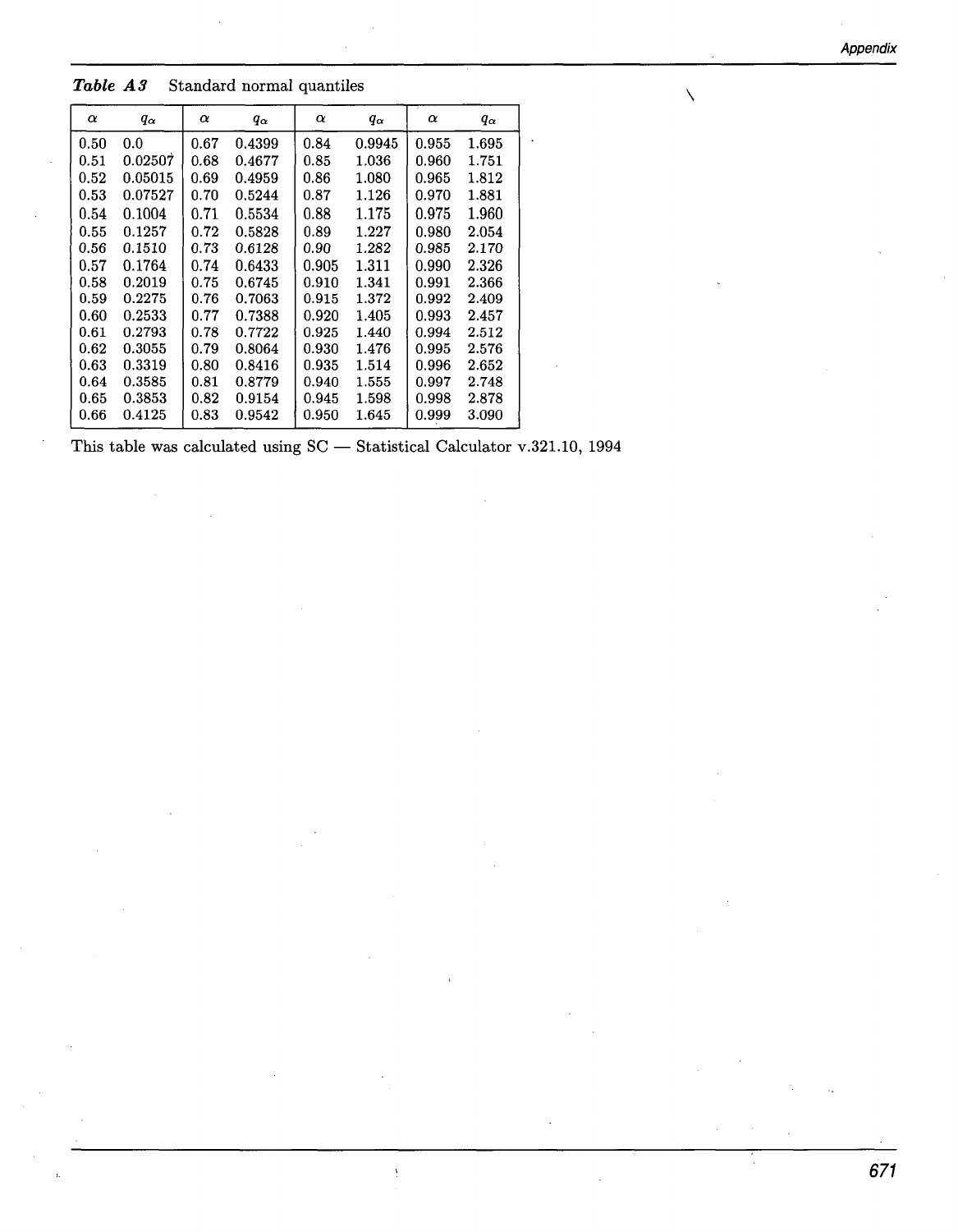**Appendix** 

 $\Delta$ 

*Table A3* Standard normal quantiles

| $\alpha$ | $q_{\alpha}$ | $\alpha$ | $q_{\alpha}$ | $\alpha$ | $q_{\alpha}$ | $\alpha$ | $q_{\alpha}$ |
|----------|--------------|----------|--------------|----------|--------------|----------|--------------|
| 0.50     | 0.0          | 0.67     | 0.4399       | 0.84     | 0.9945       | 0.955    | 1.695        |
| 0.51     | 0.02507      | 0.68     | 0.4677       | 0.85     | 1.036        | 0.960    | 1.751        |
| 0.52     | 0.05015      | 0.69     | 0.4959       | 0.86     | 1.080        | 0.965    | 1.812        |
| 0.53     | 0.07527      | 0.70     | 0.5244       | 0.87     | 1.126        | 0.970    | 1.881        |
| 0.54     | 0.1004       | 0.71     | 0.5534       | 0.88     | 1.175        | 0.975    | 1.960        |
| 0.55     | 0.1257       | 0.72     | 0.5828       | 0.89     | 1.227        | 0.980    | 2.054        |
| 0.56     | 0.1510       | 0.73     | 0.6128       | 0.90     | 1.282        | 0.985    | 2.170        |
| 0.57     | 0.1764       | 0.74     | 0.6433       | 0.905    | 1.311        | 0.990    | 2.326        |
| 0.58     | 0.2019       | 0.75     | 0.6745       | 0.910    | 1.341        | 0.991    | 2.366        |
| 0.59     | 0.2275       | 0.76     | 0.7063       | 0.915    | 1.372        | 0.992    | 2.409        |
| 0.60     | 0.2533       | 0.77     | 0.7388       | 0.920    | 1.405        | 0.993    | 2.457        |
| 0.61     | 0.2793       | 0.78     | 0.7722       | 0.925    | 1.440        | 0.994    | 2.512        |
| 0.62     | 0.3055       | 0.79     | 0.8064       | 0.930    | 1.476        | 0.995    | 2.576        |
| 0.63     | 0.3319       | 0.80     | 0.8416       | 0.935    | 1.514        | 0.996    | 2.652        |
| 0.64     | 0.3585       | 0.81     | 0.8779       | 0.940    | 1.555        | 0.997    | 2.748        |
| $0.65\,$ | 0.3853       | 0.82     | 0.9154       | 0.945    | 1.598        | 0.998    | 2.878        |
| 0.66     | 0.4125       | 0.83     | 0.9542       | 0.950    | 1.645        | 0.999    | 3.090        |

This table was calculated using  $SC -$  Statistical Calculator v.321.10, 1994

 $\frac{1}{2}$ 

 $\ddot{\phantom{a}}$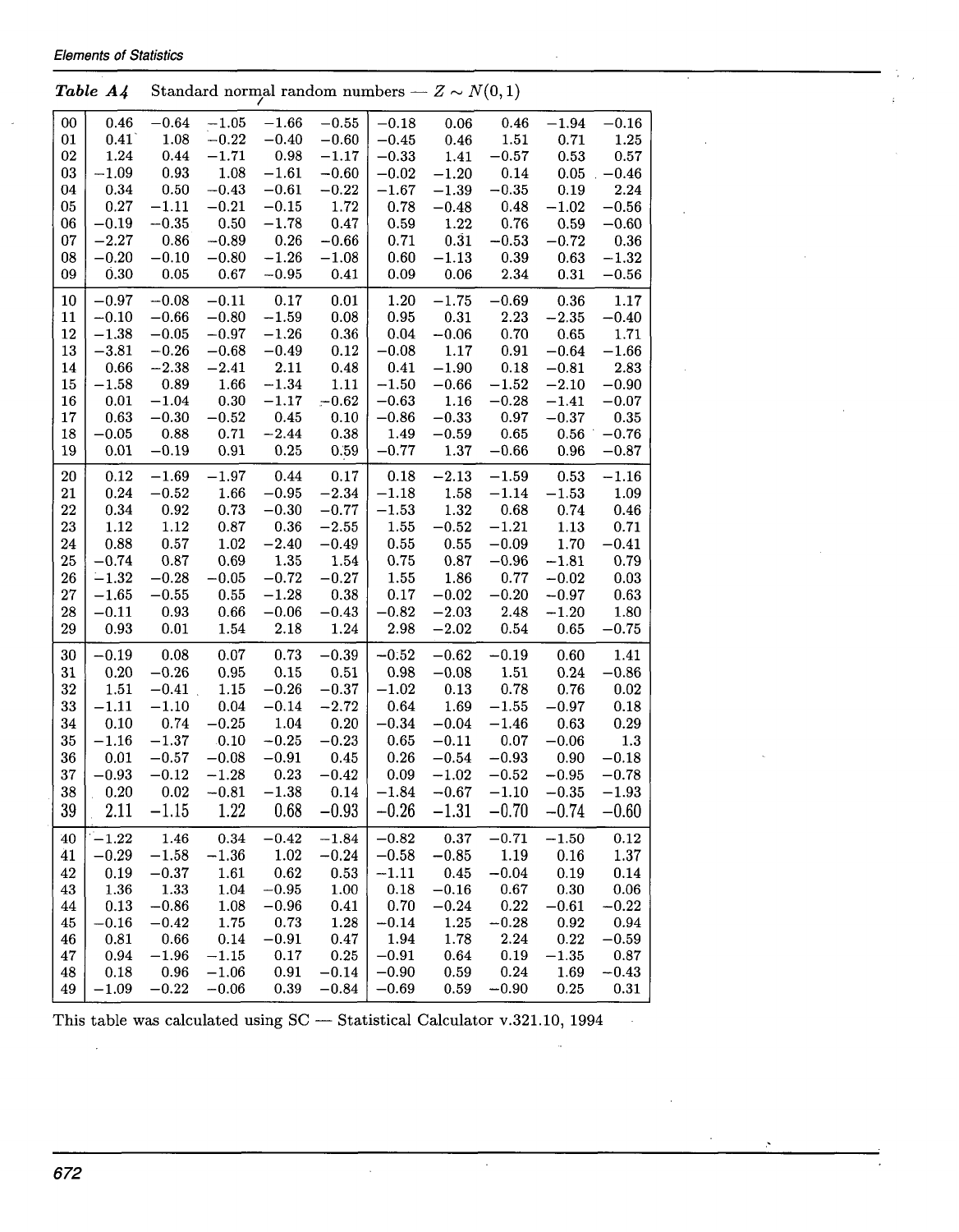**Elements of Statistics** 

| <b>Elements of Statistics</b> |              |            |            |                                                   |          |            |             |                      |             |         |  |
|-------------------------------|--------------|------------|------------|---------------------------------------------------|----------|------------|-------------|----------------------|-------------|---------|--|
|                               | Table A4     |            |            | Standard normal random numbers – $Z \sim N(0, 1)$ |          |            |             |                      |             |         |  |
| 00                            | 0.46         | $-0.64$    | $-1.05$    | $-1.66$                                           | $-0.55$  | $-0.18$    | 0.06        | 0.46                 | $-1.94$     | $-0.16$ |  |
| 01                            | $0.41^\circ$ | 1.08       | $-0.22$    | $-0.40$                                           | $-0.60$  | $-0.45$    | 0.46        | 1.51                 | 0.71        | 1.25    |  |
| 02                            | 1.24         | 0.44       | $-1.71$    | 0.98                                              | $-1.17$  | $-0.33$    | 1.41        | $-0.57$              | 0.53        | 0.57    |  |
| 03                            | $-1.09$      | 0.93       | 1.08       | $-1.61$                                           | $-0.60$  | $-0.02$    | $-1.20$     | 0.14                 | 0.05        | $-0.46$ |  |
| 04                            | 0.34         | $0.50\,$   | $-0.43$    | $-0.61$                                           | $-0.22$  | $-1.67$    | $-1.39$     | $-0.35$              | 0.19        | 2.24    |  |
| 05                            | 0.27         | $-1.11$    | $-0.21$    | $-0.15$                                           | 1.72     | 0.78       | $-0.48$     | 0.48                 | $-1.02$     | $-0.56$ |  |
| 06                            | $-0.19$      | $-0.35$    | 0.50       | $-1.78$                                           | 0.47     | 0.59       | 1.22        | $0.76\,$             | 0.59        | $-0.60$ |  |
| 07                            | $-2.27$      | $\,0.86\,$ | $-0.89$    | $0.26\,$                                          | $-0.66$  | 0.71       | 0.31        | $-0.53$              | $-0.72$     | 0.36    |  |
|                               |              | $-0.10$    |            | $-1.26$                                           | $-1.08$  |            |             |                      |             | $-1.32$ |  |
| 08                            | $-0.20$      |            | $-0.80$    |                                                   |          | 0.60       | $-1.13$     | 0.39                 | 0.63        |         |  |
| 09                            | 0.30         | 0.05       | 0.67       | $-0.95$                                           | 0.41     | 0.09       | $0.06\,$    | 2.34                 | $0.31\,$    | $-0.56$ |  |
| 10                            | $-0.97$      | $-0.08$    | $-0.11$    | 0.17                                              | 0.01     | 1.20       | $-1.75$     | $-0.69$              | 0.36        | 1.17    |  |
| 11                            | $-0.10$      | $-0.66$    | $-0.80$    | $-1.59$                                           | 0.08     | 0.95       | 0.31        | 2.23                 | $-2.35$     | $-0.40$ |  |
| 12                            | $-1.38$      | $-0.05$    | $-0.97$    | $-1.26$                                           | $\,0.36$ | 0.04       | $-0.06$     | 0.70                 | 0.65        | 1.71    |  |
| 13                            | $-3.81$      | $-0.26$    | $-0.68$    | $-0.49$                                           | 0.12     | $-0.08$    | 1.17        | 0.91                 | $\!-0.64\!$ | $-1.66$ |  |
| 14                            | 0.66         | $-2.38$    | $-2.41$    | 2.11                                              | 0.48     | 0.41       | $-1.90$     | 0.18                 | $-0.81$     | 2.83    |  |
| 15                            | $-1.58$      | 0.89       | 1.66       | $-1.34$                                           | 1.11     | $-1.50$    | $-0.66$     | $\boldsymbol{-1.52}$ | $-2.10$     | $-0.90$ |  |
| 16                            | 0.01         | $-1.04$    | $0.30\,$   | $-1.17$                                           | $-0.62$  | $-0.63$    | 1.16        | $-0.28$              | $-1.41$     | $-0.07$ |  |
| 17                            | 0.63         | $-0.30$    | $-0.52$    | 0.45                                              | $0.10\,$ | $-0.86$    | $-0.33$     | 0.97                 | $-0.37$     | 0.35    |  |
| 18                            | $-0.05$      | 0.88       | 0.71       | $-2.44$                                           | 0.38     | 1.49       | $-0.59$     | $0.65\,$             | 0.56        | $-0.76$ |  |
| 19                            | 0.01         | $-0.19$    | 0.91       | 0.25                                              | 0.59     | $-0.77$    | 1.37        | $-0.66$              | 0.96        | $-0.87$ |  |
| 20                            | 0.12         | $-1.69$    | $-1.97$    | 0.44                                              | 0.17     | 0.18       | $-2.13$     | $-1.59$              | 0.53        | $-1.16$ |  |
| 21                            | 0.24         | $-0.52$    | 1.66       | $-0.95$                                           | $-2.34$  | $-1.18$    | 1.58        | $-1.14$              | $-1.53$     | 1.09    |  |
| 22                            | 0.34         | 0.92       | 0.73       | $-0.30$                                           | $-0.77$  | $-1.53$    | 1.32        | 0.68                 | 0.74        | 0.46    |  |
| 23                            | 1.12         | $1.12\,$   | 0.87       | 0.36                                              | $-2.55$  | 1.55       | $-0.52$     | $-1.21$              | 1.13        | 0.71    |  |
| 24                            | 0.88         | 0.57       | 1.02       | $-2.40$                                           | $-0.49$  | 0.55       | $0.55\,$    | $-0.09$              | 1.70        | $-0.41$ |  |
| 25                            | $-0.74$      | $0.87\,$   | 0.69       | 1.35                                              | 1.54     | 0.75       | $0.87\,$    | $-0.96$              | $-1.81$     | 0.79    |  |
| 26                            | $-1.32$      | $-0.28$    | $-0.05$    | $-0.72$                                           | $-0.27$  | 1.55       | 1.86        | 0.77                 | $-0.02$     | 0.03    |  |
| $27\,$                        | $-1.65$      | $-0.55$    | $\rm 0.55$ | $-1.28$                                           | 0.38     | 0.17       | $\!-0.02\!$ | $-0.20$              | $-0.97$     | 0.63    |  |
|                               | $-0.11$      | 0.93       | $\,0.66\,$ | $-0.06$                                           |          | $-0.82$    | $-2.03$     | 2.48                 |             | 1.80    |  |
| 28                            |              |            |            |                                                   | $-0.43$  |            |             |                      | $-1.20$     |         |  |
| 29                            | 0.93         | $0.01\,$   | 1.54       | 2.18                                              | 1.24     | 2.98       | $-2.02$     | $0.54\,$             | 0.65        | $-0.75$ |  |
| 30                            | $-0.19$      | 0.08       | $0.07\,$   | 0.73                                              | $-0.39$  | $-0.52$    | $-0.62$     | $-0.19$              | 0.60        | 1.41    |  |
| 31                            | 0.20         | $-0.26$    | 0.95       | 0.15                                              | 0.51     | 0.98       | $-0.08$     | 1.51                 | 0.24        | $-0.86$ |  |
| 32                            | 1.51         | $-0.41$ .  | 1.15       | $-0.26$                                           | $-0.37$  | $-1.02$    | $0.13\,$    | 0.78                 | 0.76        | 0.02    |  |
| 33                            | $-1.11$      | $-1.10$    | 0.04       | $-0.14$                                           | $-2.72$  | 0.64       | 1.69        | $-1.55$              | $-0.97$     | 0.18    |  |
| 34                            | 0.10         | 0.74       | $-0.25$    | 1.04                                              | 0.20     | $-0.34$    | $-0.04$     | $-1.46$              | 0.63        | 0.29    |  |
| 35                            | $-1.16$      | $-1.37$    | .0.10      | $-0.25$                                           | $-0.23$  | 0.65       | $-0.11$     | 0.07                 | $-0.06$     | 1.3     |  |
| $36\,$                        | 0.01         | $-0.57$    | $-0.08$    | $-0.91$                                           | $0.45\,$ | $\rm 0.26$ | $-0.54$     | $-0.93$              | $0.90\,$    | $-0.18$ |  |
| 37                            | $-0.93$      | $-0.12$    | $-1.28$    | 0.23                                              | $-0.42$  | 0.09       | $\!-1.02$   | $-0.52$              | $-0.95$     | $-0.78$ |  |
| 38                            | 0.20         | 0.02       | $-0.81$    | $-1.38$                                           | 0.14     | $-1.84$    | $-0.67$     | $-1.10$              | $-0.35$     | $-1.93$ |  |
| 39                            | 2.11         | $-1.15$    | 1.22       | 0.68                                              | $-0.93$  | $-0.26$    | $-1.31$     | $-0.70$              |             | $-0.60$ |  |
|                               |              |            |            |                                                   |          |            |             |                      | $-0.74$     |         |  |
| 40                            | $-1.22$      | 1.46       | 0.34       | $-0.42$                                           | $-1.84$  | $-0.82$    | 0.37        | $-0.71$              | $-1.50$     | 0.12    |  |
| 41                            | $-0.29$      | $-1.58$    | $-1.36$    | 1.02                                              | $-0.24$  | $-0.58$    | $-0.85$     | 1.19                 | 0.16        | 1.37    |  |
| 42                            | 0.19         | $-0.37$    | 1.61       | 0.62                                              | 0.53     | $-1.11$    | 0.45        | $-0.04$              | 0.19        | 0.14    |  |
| 43                            | 1.36         | 1.33       | 1.04       | $\!-0.95\!$                                       | 1.00     | 0.18       | $-0.16$     | 0.67                 | 0.30        | 0.06    |  |
| 44                            | 0.13         | $-0.86$    | 1.08       | $-0.96$                                           | 0.41     | 0.70       | $-0.24$     | 0.22                 | $-0.61$     | $-0.22$ |  |
| 45                            | $-0.16$      | $-0.42$    | 1.75       | 0.73                                              | 1.28     | $-0.14$    | 1.25        | $-0.28$              | 0.92        | 0.94    |  |
| 46                            | $\rm 0.81$   | $0.66\,$   | 0.14       | $-0.91$                                           | $0.47\,$ | 1.94       | 1.78        | 2.24                 | $\rm 0.22$  | $-0.59$ |  |
| 47                            | 0.94         | $-1.96$    | $-1.15$    | 0.17                                              | 0.25     | $-0.91$    | 0.64        | 0.19                 | $-1.35$     | 0.87    |  |
| 48                            | 0.18         | 0.96       | $-1.06$    | 0.91                                              | $-0.14$  | $-0.90$    | 0.59        | 0.24                 | 1.69        | $-0.43$ |  |
| 49                            | $-1.09$      | $-0.22$    | $-0.06$    | 0.39                                              | $-0.84$  | $-0.69$    | 0.59        | $-0.90$              | 0.25        | 0.31    |  |

I,

This table was calculated using SC - Statistical Calculator v.321.10, 1994

 $\mathcal{L}$ 

 $\hat{\mathcal{E}}$ 

 $\hat{\mathcal{A}}$ 

 $\boldsymbol{\beta}$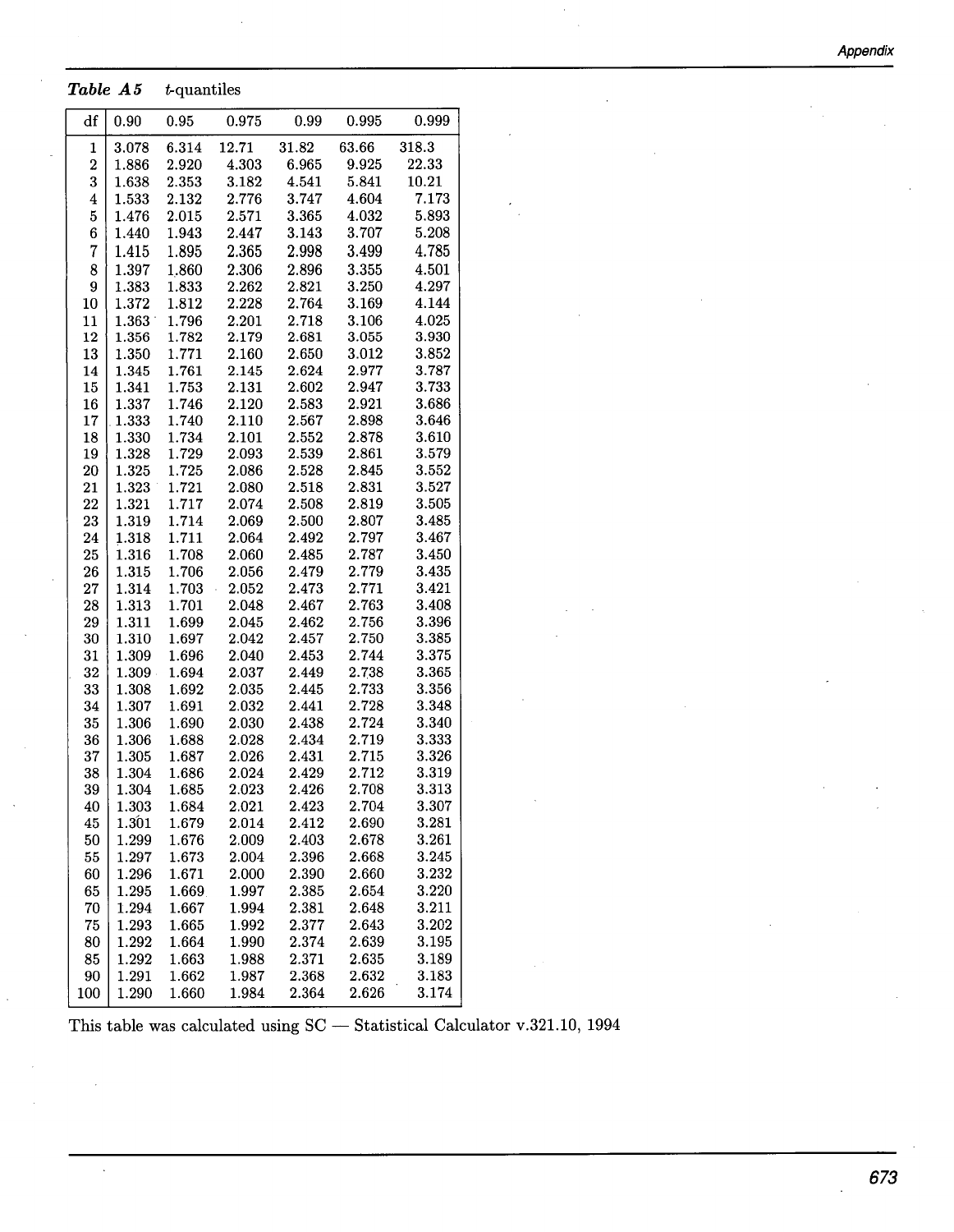**Appendix** 

## Table A5  $t$ -quantiles

| df                      | 0.90                                                                       | 0.95           | 0.975          | 0.99           | 0.995 | 0.999 |  |  |  |  |  |
|-------------------------|----------------------------------------------------------------------------|----------------|----------------|----------------|-------|-------|--|--|--|--|--|
| $\mathbf{1}$            | 3.078                                                                      | 6.314          | 12.71          | 31.82          | 63.66 | 318.3 |  |  |  |  |  |
| $\boldsymbol{2}$        | 1.886                                                                      | 2.920          | 4.303          | 6.965          | 9.925 | 22.33 |  |  |  |  |  |
| 3                       | 1.638                                                                      | 2.353          | 3.182          | 4.541          | 5.841 | 10.21 |  |  |  |  |  |
| $\overline{\mathbf{4}}$ | 1.533                                                                      | 2.132          | 2.776          | 3.747          | 4.604 | 7.173 |  |  |  |  |  |
| $\bf 5$                 | 1.476                                                                      | 2.015          | 2.571          | 3.365          | 4.032 | 5.893 |  |  |  |  |  |
| 6                       | 1.440                                                                      | 1.943          | 2.447          | 3.143          | 3.707 | 5.208 |  |  |  |  |  |
| $\overline{7}$          | 1.415                                                                      | 1.895          | 2.365          | 2.998          | 3.499 | 4.785 |  |  |  |  |  |
| 8                       | 1.397                                                                      | 1.860          | 2.306          | 2.896          | 3.355 | 4.501 |  |  |  |  |  |
| 9                       | 1.383                                                                      | 1.833          | 2.262          | 2.821          | 3.250 | 4.297 |  |  |  |  |  |
| $10\,$                  | 1.372                                                                      | 1.812          | 2.228          | 2.764          | 3.169 | 4.144 |  |  |  |  |  |
| 11                      | 1.363                                                                      | 1.796          | 2.201          | 2.718          | 3.106 | 4.025 |  |  |  |  |  |
| 12                      | 1.356                                                                      | 1.782          | 2.179          | 2.681          | 3.055 | 3.930 |  |  |  |  |  |
| 13                      | 1.350                                                                      | 1.771          | 2.160          | 2.650          | 3.012 | 3.852 |  |  |  |  |  |
| 14                      | 1.345                                                                      | 1.761          | $2.145\,$      | 2.624          | 2.977 | 3.787 |  |  |  |  |  |
| 15                      | 1.341                                                                      | 1.753          | 2.131          | 2.602          | 2.947 | 3.733 |  |  |  |  |  |
| 16                      | 1.337                                                                      | 1.746          | 2.120          | 2.583          | 2.921 | 3.686 |  |  |  |  |  |
| 17                      | 1.333                                                                      | 1.740          | 2.110          | 2.567          | 2.898 | 3.646 |  |  |  |  |  |
| 18                      | 1.330                                                                      | 1.734          | 2.101          | 2.552          | 2.878 | 3.610 |  |  |  |  |  |
| 19                      | 1.328                                                                      | 1.729          | 2.093          | 2.539          | 2.861 | 3.579 |  |  |  |  |  |
| $20\,$                  | 1.325                                                                      | 1.725          | 2.086          | 2.528          | 2.845 | 3.552 |  |  |  |  |  |
| 21                      | 1.323                                                                      | 1.721          | 2.080          | 2.518          | 2.831 | 3.527 |  |  |  |  |  |
| 22                      | 1.321                                                                      | 1.717          | 2.074          | 2.508          | 2.819 | 3.505 |  |  |  |  |  |
| 23                      | 1.319                                                                      | 1.714          | 2.069          | 2.500          | 2.807 | 3.485 |  |  |  |  |  |
|                         | 1.318                                                                      |                |                |                | 2.797 | 3.467 |  |  |  |  |  |
| 24<br>25                | 1.316                                                                      | 1.711<br>1.708 | 2.064<br>2.060 | 2.492<br>2.485 | 2.787 | 3.450 |  |  |  |  |  |
|                         |                                                                            |                |                | 2.479          | 2.779 | 3.435 |  |  |  |  |  |
| 26                      | 1.315                                                                      | 1.706          | 2.056          |                |       |       |  |  |  |  |  |
| 27                      | 1.314                                                                      | 1.703          | 2.052          | 2.473          | 2.771 | 3.421 |  |  |  |  |  |
| 28                      | 1.313                                                                      | 1.701          | 2.048          | 2.467          | 2.763 | 3.408 |  |  |  |  |  |
| 29                      | 1.311                                                                      | 1.699          | 2.045          | 2.462          | 2.756 | 3.396 |  |  |  |  |  |
| 30                      | 1.310                                                                      | 1.697          | 2.042          | 2.457<br>2.453 | 2.750 | 3.385 |  |  |  |  |  |
| 31                      | 1.309                                                                      | 1.696          | 2.040          |                | 2.744 | 3.375 |  |  |  |  |  |
| 32                      | 1.309                                                                      | 1.694          | 2.037          | 2.449          | 2.738 | 3.365 |  |  |  |  |  |
| 33                      | 1.308                                                                      | 1.692          | 2.035          | 2.445          | 2.733 | 3.356 |  |  |  |  |  |
| 34                      | 1.307                                                                      | 1.691          | 2.032          | 2.441          | 2.728 | 3.348 |  |  |  |  |  |
| 35                      | 1.306                                                                      | 1.690          | 2.030          | 2.438          | 2.724 | 3.340 |  |  |  |  |  |
| 36                      | 1.306                                                                      | 1.688          | 2.028          | 2.434          | 2.719 | 3.333 |  |  |  |  |  |
| 37                      | 1.305                                                                      | 1.687          | 2.026          | 2.431          | 2.715 | 3.326 |  |  |  |  |  |
| 38                      | 1.304                                                                      | 1.686          | 2.024          | 2.429          | 2.712 | 3.319 |  |  |  |  |  |
| 39                      | 1.304                                                                      | 1.685          | 2.023          | 2.426          | 2.708 | 3.313 |  |  |  |  |  |
| 40                      | 1.303                                                                      | 1.684          | 2.021          | 2.423          | 2.704 | 3.307 |  |  |  |  |  |
| 45                      | 1.301                                                                      | 1.679          | 2.014          | 2.412          | 2.690 | 3.281 |  |  |  |  |  |
| 50                      | 1.299                                                                      | 1.676          | 2.009          | 2.403          | 2.678 | 3.261 |  |  |  |  |  |
| 55                      | 1.297                                                                      | 1.673          | 2.004          | 2.396          | 2.668 | 3.245 |  |  |  |  |  |
| 60                      | 1.296                                                                      | 1.671          | 2.000          | 2.390          | 2.660 | 3.232 |  |  |  |  |  |
| 65                      | 1.295                                                                      | 1.669          | 1.997          | 2.385          | 2.654 | 3.220 |  |  |  |  |  |
| 70                      | 1.294                                                                      | 1.667          | 1.994          | 2.381          | 2.648 | 3.211 |  |  |  |  |  |
| 75                      | 1.293                                                                      | 1.665          | 1.992          | 2.377          | 2.643 | 3.202 |  |  |  |  |  |
| 80                      | 1.292                                                                      | 1.664          | 1.990          | 2.374          | 2.639 | 3.195 |  |  |  |  |  |
| 85                      | 1.292                                                                      | 1.663          | 1.988          | 2.371          | 2.635 | 3.189 |  |  |  |  |  |
| 90                      | 1.291                                                                      | 1.662          | 1.987          | 2.368          | 2.632 | 3.183 |  |  |  |  |  |
| 100                     | 1.290                                                                      | 1.660          | 1.984          | 2.364          | 2.626 | 3.174 |  |  |  |  |  |
|                         | This table was calculated using SC - Statistical Calculator v.321.10, 1994 |                |                |                |       |       |  |  |  |  |  |

 $\bar{\mathcal{A}}$